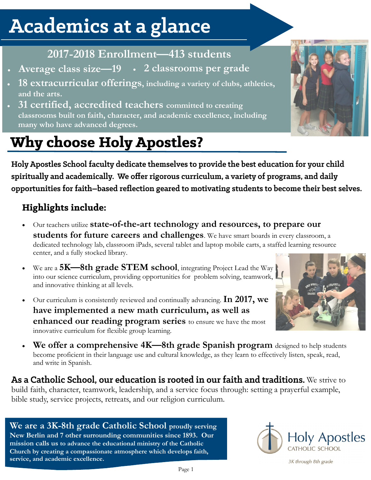# Academics at a glance

### **2017-2018 Enrollment—413 students**

- **Average class size—19 2 classrooms per grade**
- **18 extracurricular offerings, including a variety of clubs, athletics, and the arts.**
- **31 certified, accredited teachers committed to creating classrooms built on faith, character, and academic excellence, including many who have advanced degrees.**

## **Why choose Holy Apostles?**

Holy Apostles School faculty dedicate themselves to provide the best education for your child spiritually and academically. We offer rigorous curriculum, a variety of programs, and daily opportunities for faith–based reflection geared to motivating students to become their best selves.

### **Highlights include:**

- Our teachers utilize **state-of-the-art technology and resources, to prepare our students for future careers and challenges**. We have smart boards in every classroom, a dedicated technology lab, classroom iPads, several tablet and laptop mobile carts, a staffed learning resource center, and a fully stocked library.
- We are a **5K—8th grade STEM school**, integrating Project Lead the Way into our science curriculum, providing opportunities for problem solving, teamwork, and innovative thinking at all levels.
- Our curriculum is consistently reviewed and continually advancing. **In 2017, we have implemented a new math curriculum, as well as enhanced our reading program series** to ensure we have the most innovative curriculum for flexible group learning.
- **We offer a comprehensive 4K—8th grade Spanish program** designed to help students become proficient in their language use and cultural knowledge, as they learn to effectively listen, speak, read, and write in Spanish.

As a Catholic School, our education is rooted in our faith and traditions. We strive to build faith, character, teamwork, leadership, and a service focus through: setting a prayerful example, bible study, service projects, retreats, and our religion curriculum.

**We are a 3K-8th grade Catholic School proudly serving New Berlin and 7 other surrounding communities since 1893. Our mission calls us to advance the educational ministry of the Catholic Church by creating a compassionate atmosphere which develops faith, service, and academic excellence.**



3K through 8th grade